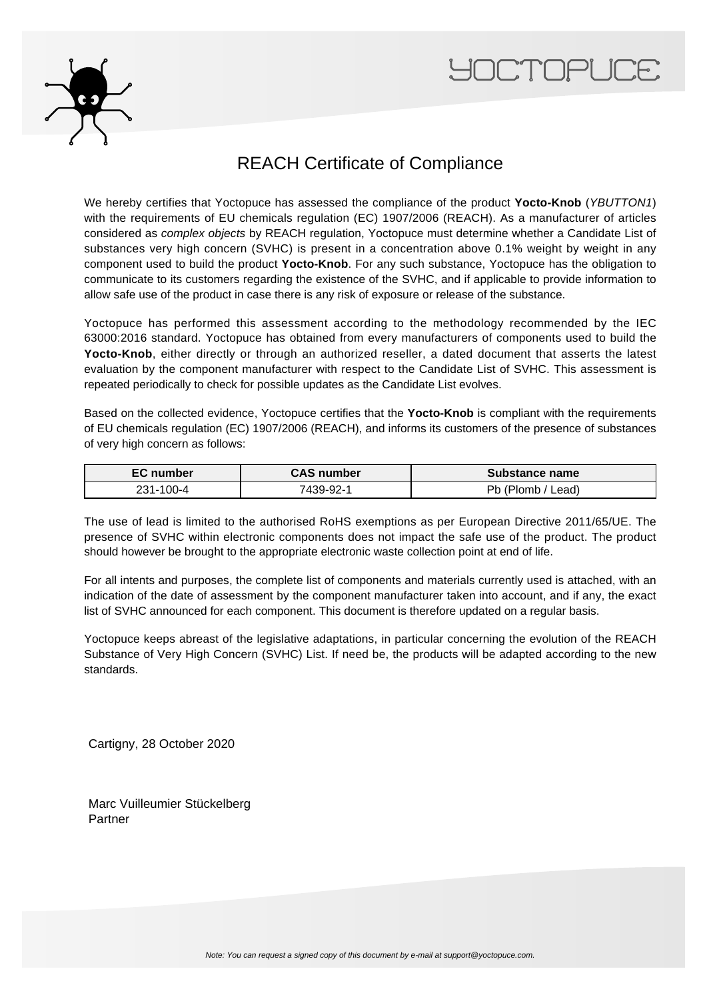



## REACH Certificate of Compliance

We hereby certifies that Yoctopuce has assessed the compliance of the product **Yocto-Knob** (YBUTTON1) with the requirements of EU chemicals regulation (EC) 1907/2006 (REACH). As a manufacturer of articles considered as complex objects by REACH regulation, Yoctopuce must determine whether a Candidate List of substances very high concern (SVHC) is present in a concentration above 0.1% weight by weight in any component used to build the product **Yocto-Knob**. For any such substance, Yoctopuce has the obligation to communicate to its customers regarding the existence of the SVHC, and if applicable to provide information to allow safe use of the product in case there is any risk of exposure or release of the substance.

Yoctopuce has performed this assessment according to the methodology recommended by the IEC 63000:2016 standard. Yoctopuce has obtained from every manufacturers of components used to build the Yocto-Knob, either directly or through an authorized reseller, a dated document that asserts the latest evaluation by the component manufacturer with respect to the Candidate List of SVHC. This assessment is repeated periodically to check for possible updates as the Candidate List evolves.

Based on the collected evidence, Yoctopuce certifies that the **Yocto-Knob** is compliant with the requirements of EU chemicals regulation (EC) 1907/2006 (REACH), and informs its customers of the presence of substances of very high concern as follows:

| <b>EC</b> number | <b>CAS number</b> | Substance name              |
|------------------|-------------------|-----------------------------|
| 231-100-4        | 7439-92-1         | אר<br>_ead)<br><b>Plomp</b> |

The use of lead is limited to the authorised RoHS exemptions as per European Directive 2011/65/UE. The presence of SVHC within electronic components does not impact the safe use of the product. The product should however be brought to the appropriate electronic waste collection point at end of life.

For all intents and purposes, the complete list of components and materials currently used is attached, with an indication of the date of assessment by the component manufacturer taken into account, and if any, the exact list of SVHC announced for each component. This document is therefore updated on a regular basis.

Yoctopuce keeps abreast of the legislative adaptations, in particular concerning the evolution of the REACH Substance of Very High Concern (SVHC) List. If need be, the products will be adapted according to the new standards.

Cartigny, 28 October 2020

Marc Vuilleumier Stückelberg Partner